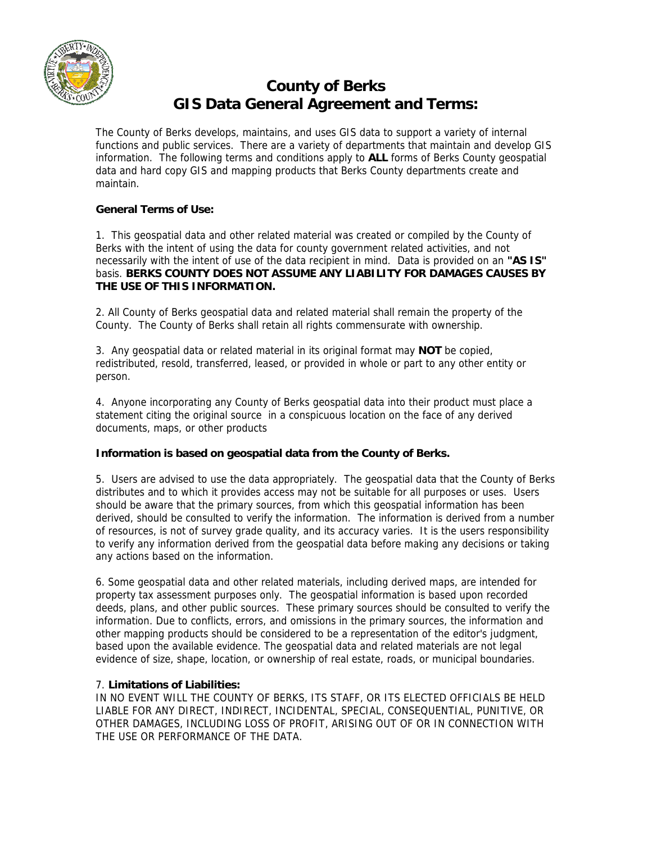

# **County of Berks GIS Data General Agreement and Terms:**

The County of Berks develops, maintains, and uses GIS data to support a variety of internal functions and public services. There are a variety of departments that maintain and develop GIS information. The following terms and conditions apply to **ALL** forms of Berks County geospatial data and hard copy GIS and mapping products that Berks County departments create and maintain.

## **General Terms of Use:**

1. This geospatial data and other related material was created or compiled by the County of Berks with the intent of using the data for county government related activities, and not necessarily with the intent of use of the data recipient in mind. Data is provided on an **"AS IS"** basis. **BERKS COUNTY DOES NOT ASSUME ANY LIABILITY FOR DAMAGES CAUSES BY THE USE OF THIS INFORMATION.**

2. All County of Berks geospatial data and related material shall remain the property of the County. The County of Berks shall retain all rights commensurate with ownership.

3. Any geospatial data or related material in its original format may **NOT** be copied, redistributed, resold, transferred, leased, or provided in whole or part to any other entity or person.

4. Anyone incorporating any County of Berks geospatial data into their product must place a statement citing the original source in a conspicuous location on the face of any derived documents, maps, or other products

### **Information is based on geospatial data from the County of Berks.**

5. Users are advised to use the data appropriately. The geospatial data that the County of Berks distributes and to which it provides access may not be suitable for all purposes or uses. Users should be aware that the primary sources, from which this geospatial information has been derived, should be consulted to verify the information. The information is derived from a number of resources, is not of survey grade quality, and its accuracy varies. It is the users responsibility to verify any information derived from the geospatial data before making any decisions or taking any actions based on the information.

6. Some geospatial data and other related materials, including derived maps, are intended for property tax assessment purposes only. The geospatial information is based upon recorded deeds, plans, and other public sources. These primary sources should be consulted to verify the information. Due to conflicts, errors, and omissions in the primary sources, the information and other mapping products should be considered to be a representation of the editor's judgment, based upon the available evidence. The geospatial data and related materials are not legal evidence of size, shape, location, or ownership of real estate, roads, or municipal boundaries.

### 7. **Limitations of Liabilities:**

IN NO EVENT WILL THE COUNTY OF BERKS, ITS STAFF, OR ITS ELECTED OFFICIALS BE HELD LIABLE FOR ANY DIRECT, INDIRECT, INCIDENTAL, SPECIAL, CONSEQUENTIAL, PUNITIVE, OR OTHER DAMAGES, INCLUDING LOSS OF PROFIT, ARISING OUT OF OR IN CONNECTION WITH THE USE OR PERFORMANCE OF THE DATA.